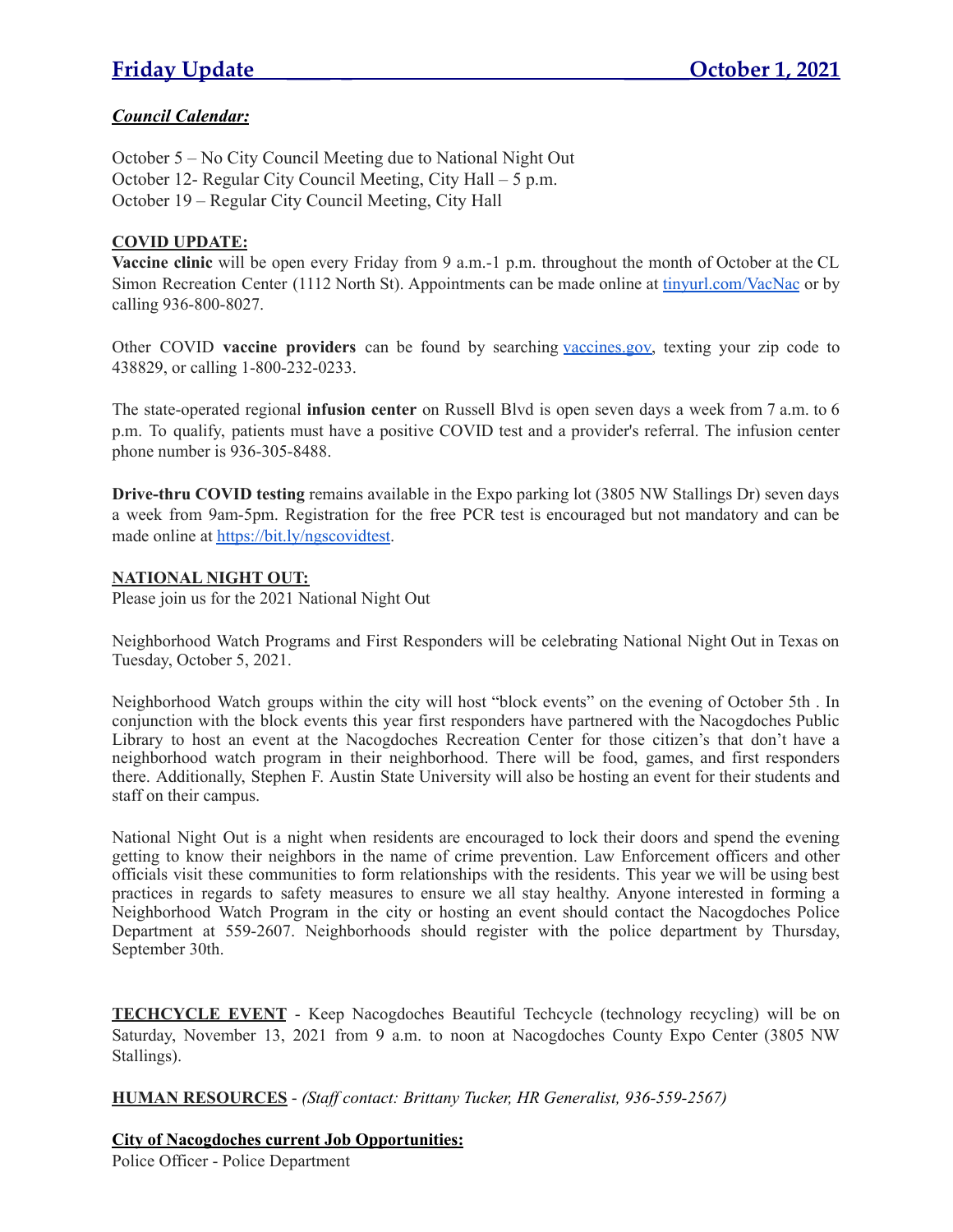# *Council Calendar:*

October 5 – No City Council Meeting due to National Night Out October 12- Regular City Council Meeting, City Hall – 5 p.m. October 19 – Regular City Council Meeting, City Hall

#### **COVID UPDATE:**

**Vaccine clinic** will be open every Friday from 9 a.m.-1 p.m. throughout the month of October at the CL Simon Recreation Center (1112 North St). Appointments can be made online at [tinyurl.com/VacNac](http://tinyurl.com/VacNac) or by calling 936-800-8027.

Other COVID **vaccine providers** can be found by searching [vaccines.gov,](http://vaccines.gov/) texting your zip code to 438829, or calling 1-800-232-0233.

The state-operated regional **infusion center** on Russell Blvd is open seven days a week from 7 a.m. to 6 p.m. To qualify, patients must have a positive COVID test and a provider's referral. The infusion center phone number is 936-305-8488.

**Drive-thru COVID testing** remains available in the Expo parking lot (3805 NW Stallings Dr) seven days a week from 9am-5pm. Registration for the free PCR test is encouraged but not mandatory and can be made online at [https://bit.ly/ngscovidtest.](https://bit.ly/ngscovidtest)

# **NATIONAL NIGHT OUT:**

Please join us for the 2021 National Night Out

Neighborhood Watch Programs and First Responders will be celebrating National Night Out in Texas on Tuesday, October 5, 2021.

Neighborhood Watch groups within the city will host "block events" on the evening of October 5th . In conjunction with the block events this year first responders have partnered with the Nacogdoches Public Library to host an event at the Nacogdoches Recreation Center for those citizen's that don't have a neighborhood watch program in their neighborhood. There will be food, games, and first responders there. Additionally, Stephen F. Austin State University will also be hosting an event for their students and staff on their campus.

National Night Out is a night when residents are encouraged to lock their doors and spend the evening getting to know their neighbors in the name of crime prevention. Law Enforcement officers and other officials visit these communities to form relationships with the residents. This year we will be using best practices in regards to safety measures to ensure we all stay healthy. Anyone interested in forming a Neighborhood Watch Program in the city or hosting an event should contact the Nacogdoches Police Department at 559-2607. Neighborhoods should register with the police department by Thursday, September 30th.

**TECHCYCLE EVENT** - Keep Nacogdoches Beautiful Techcycle (technology recycling) will be on Saturday, November 13, 2021 from 9 a.m. to noon at Nacogdoches County Expo Center (3805 NW Stallings).

**HUMAN RESOURCES** - *(Staf contact: Brittany Tucker, HR Generalist, 936-559-2567)*

#### **City of Nacogdoches current Job Opportunities:**

Police Officer - Police Department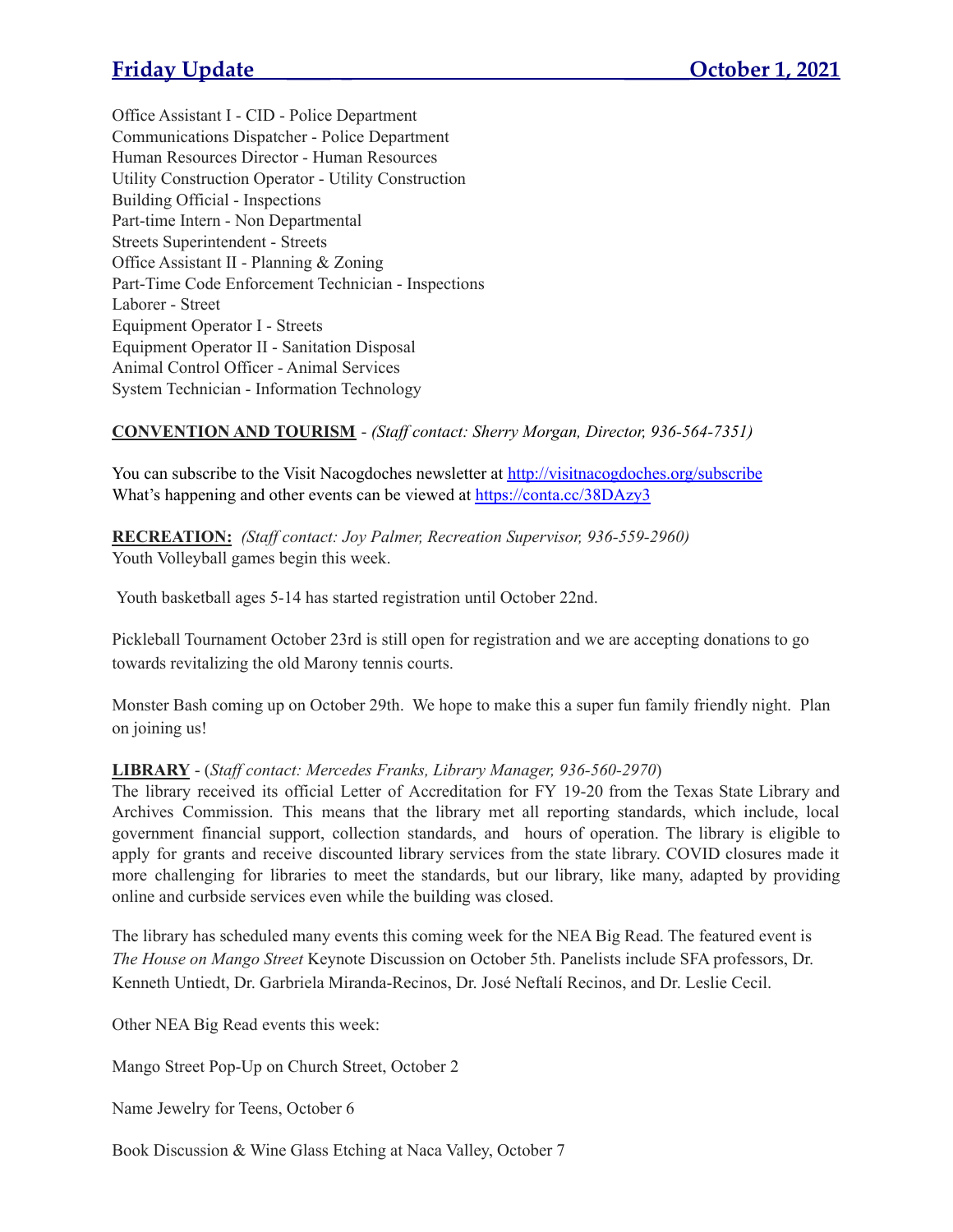Office Assistant I - CID - Police Department Communications Dispatcher - Police Department Human Resources Director - Human Resources Utility Construction Operator - Utility Construction Building Official - Inspections Part-time Intern - Non Departmental Streets Superintendent - Streets Office Assistant II - Planning & Zoning Part-Time Code Enforcement Technician - Inspections Laborer - Street Equipment Operator I - Streets Equipment Operator II - Sanitation Disposal Animal Control Officer - Animal Services System Technician - Information Technology

# **CONVENTION AND TOURISM** - *(Staf contact: Sherry Morgan, Director, 936-564-7351)*

You can subscribe to the Visit Nacogdoches newsletter at <http://visitnacogdoches.org/subscribe> What's happening and other events can be viewed at <https://conta.cc/38DAzy3>

**RECREATION:** *(Staf contact: Joy Palmer, Recreation Supervisor, 936-559-2960)* Youth Volleyball games begin this week.

Youth basketball ages 5-14 has started registration until October 22nd.

Pickleball Tournament October 23rd is still open for registration and we are accepting donations to go towards revitalizing the old Marony tennis courts.

Monster Bash coming up on October 29th. We hope to make this a super fun family friendly night. Plan on joining us!

# **LIBRARY** - (*Staf contact: Mercedes Franks, Library Manager, 936-560-2970*)

The library received its official Letter of Accreditation for FY 19-20 from the Texas State Library and Archives Commission. This means that the library met all reporting standards, which include, local government financial support, collection standards, and hours of operation. The library is eligible to apply for grants and receive discounted library services from the state library. COVID closures made it more challenging for libraries to meet the standards, but our library, like many, adapted by providing online and curbside services even while the building was closed.

The library has scheduled many events this coming week for the NEA Big Read. The featured event is *The House on Mango Street* Keynote Discussion on October 5th. Panelists include SFA professors, Dr. Kenneth Untiedt, Dr. Garbriela Miranda-Recinos, Dr. José Neftalí Recinos, and Dr. Leslie Cecil.

Other NEA Big Read events this week:

Mango Street Pop-Up on Church Street, October 2

Name Jewelry for Teens, October 6

Book Discussion & Wine Glass Etching at Naca Valley, October 7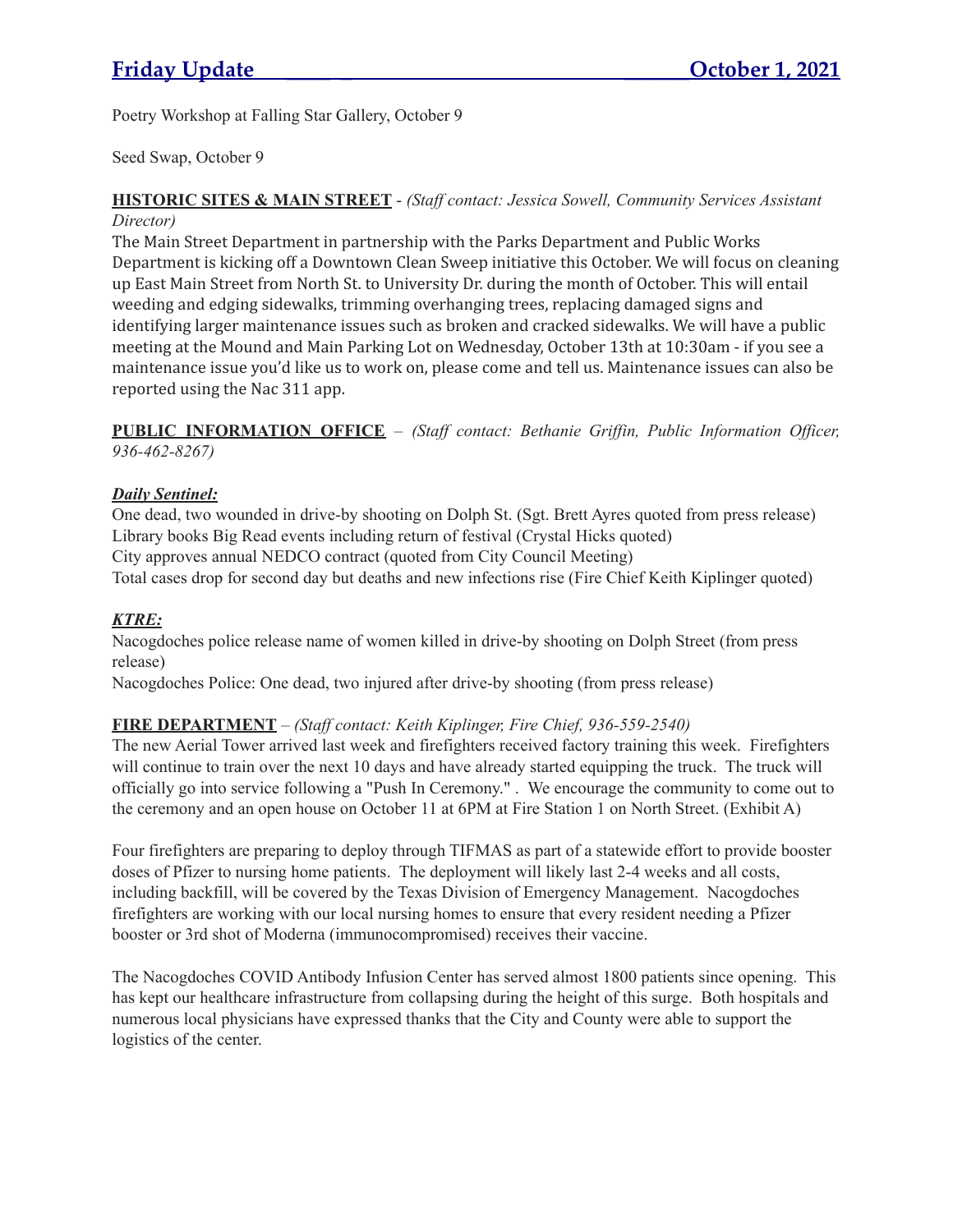Poetry Workshop at Falling Star Gallery, October 9

Seed Swap, October 9

#### **HISTORIC SITES & MAIN STREET** - *(Staf contact: Jessica Sowell, Community Services Assistant Director)*

The Main Street Department in partnership with the Parks Department and Public Works Department is kicking off a Downtown Clean Sweep initiative this October. We will focus on cleaning up East Main Street from North St. to University Dr. during the month of October. This will entail weeding and edging sidewalks, trimming overhanging trees, replacing damaged signs and identifying larger maintenance issues such as broken and cracked sidewalks. We will have a public meeting at the Mound and Main Parking Lot on Wednesday, October 13th at 10:30am - if you see a maintenance issue you'd like us to work on, please come and tell us. Maintenance issues can also be reported using the Nac 311 app.

# **PUBLIC INFORMATION OFFICE** – *(Staf contact: Bethanie Grif in, Public Information Of icer, 936-462-8267)*

# *Daily Sentinel:*

One dead, two wounded in drive-by shooting on Dolph St. (Sgt. Brett Ayres quoted from press release) Library books Big Read events including return of festival (Crystal Hicks quoted) City approves annual NEDCO contract (quoted from City Council Meeting) Total cases drop for second day but deaths and new infections rise (Fire Chief Keith Kiplinger quoted)

# *KTRE:*

Nacogdoches police release name of women killed in drive-by shooting on Dolph Street (from press release)

Nacogdoches Police: One dead, two injured after drive-by shooting (from press release)

# **FIRE DEPARTMENT** – *(Staf contact: Keith Kiplinger, Fire Chief, 936-559-2540)*

The new Aerial Tower arrived last week and firefighters received factory training this week. Firefighters will continue to train over the next 10 days and have already started equipping the truck. The truck will officially go into service following a "Push In Ceremony." . We encourage the community to come out to the ceremony and an open house on October 11 at 6PM at Fire Station 1 on North Street. (Exhibit A)

Four firefighters are preparing to deploy through TIFMAS as part of a statewide effort to provide booster doses of Pfizer to nursing home patients. The deployment will likely last 2-4 weeks and all costs, including backfill, will be covered by the Texas Division of Emergency Management. Nacogdoches firefighters are working with our local nursing homes to ensure that every resident needing a Pfizer booster or 3rd shot of Moderna (immunocompromised) receives their vaccine.

The Nacogdoches COVID Antibody Infusion Center has served almost 1800 patients since opening. This has kept our healthcare infrastructure from collapsing during the height of this surge. Both hospitals and numerous local physicians have expressed thanks that the City and County were able to support the logistics of the center.